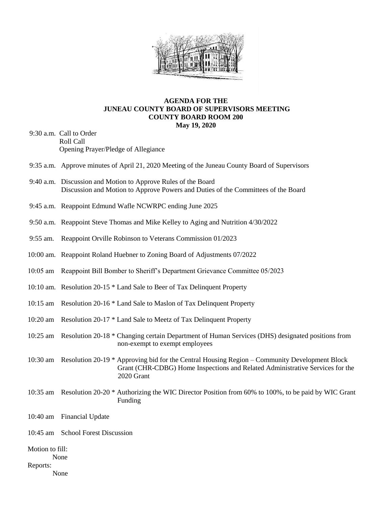

## **AGENDA FOR THE JUNEAU COUNTY BOARD OF SUPERVISORS MEETING COUNTY BOARD ROOM 200 May 19, 2020**

- 9:30 a.m. Call to Order Roll Call Opening Prayer/Pledge of Allegiance
- 9:35 a.m. Approve minutes of April 21, 2020 Meeting of the Juneau County Board of Supervisors
- 9:40 a.m. Discussion and Motion to Approve Rules of the Board Discussion and Motion to Approve Powers and Duties of the Committees of the Board
- 9:45 a.m. Reappoint Edmund Wafle NCWRPC ending June 2025
- 9:50 a.m. Reappoint Steve Thomas and Mike Kelley to Aging and Nutrition 4/30/2022
- 9:55 am. Reappoint Orville Robinson to Veterans Commission 01/2023
- 10:00 am. Reappoint Roland Huebner to Zoning Board of Adjustments 07/2022
- 10:05 am Reappoint Bill Bomber to Sheriff's Department Grievance Committee 05/2023
- 10:10 am. Resolution 20-15 \* Land Sale to Beer of Tax Delinquent Property
- 10:15 am Resolution 20-16 \* Land Sale to Maslon of Tax Delinquent Property
- 10:20 am Resolution 20-17 \* Land Sale to Meetz of Tax Delinquent Property
- 10:25 am Resolution 20-18 \* Changing certain Department of Human Services (DHS) designated positions from non-exempt to exempt employees
- 10:30 am Resolution 20-19 \* Approving bid for the Central Housing Region Community Development Block Grant (CHR-CDBG) Home Inspections and Related Administrative Services for the 2020 Grant
- 10:35 am Resolution 20-20 \* Authorizing the WIC Director Position from 60% to 100%, to be paid by WIC Grant Funding
- 10:40 am Financial Update
- 10:45 am School Forest Discussion
- Motion to fill:
	- None
- Reports:
	- None